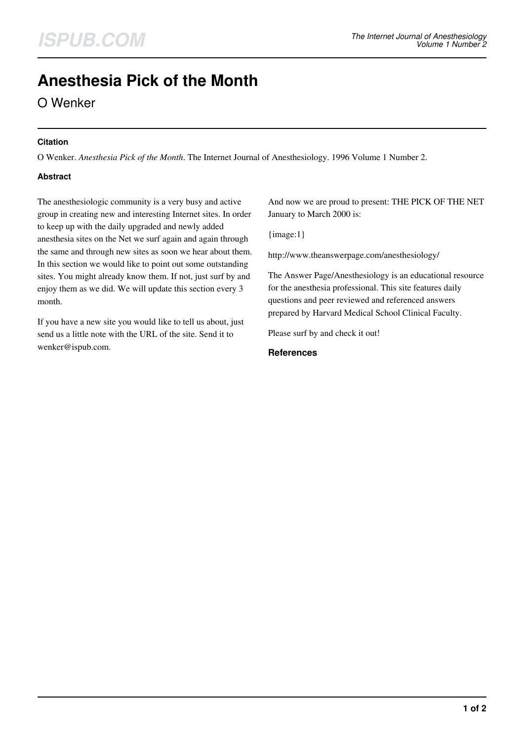# **Anesthesia Pick of the Month**

O Wenker

### **Citation**

O Wenker. *Anesthesia Pick of the Month*. The Internet Journal of Anesthesiology. 1996 Volume 1 Number 2.

### **Abstract**

The anesthesiologic community is a very busy and active group in creating new and interesting Internet sites. In order to keep up with the daily upgraded and newly added anesthesia sites on the Net we surf again and again through the same and through new sites as soon we hear about them. In this section we would like to point out some outstanding sites. You might already know them. If not, just surf by and enjoy them as we did. We will update this section every 3 month.

If you have a new site you would like to tell us about, just send us a little note with the URL of the site. Send it to wenker@ispub.com.

And now we are proud to present: THE PICK OF THE NET January to March 2000 is:

{image:1}

http://www.theanswerpage.com/anesthesiology/

The Answer Page/Anesthesiology is an educational resource for the anesthesia professional. This site features daily questions and peer reviewed and referenced answers prepared by Harvard Medical School Clinical Faculty.

Please surf by and check it out!

#### **References**